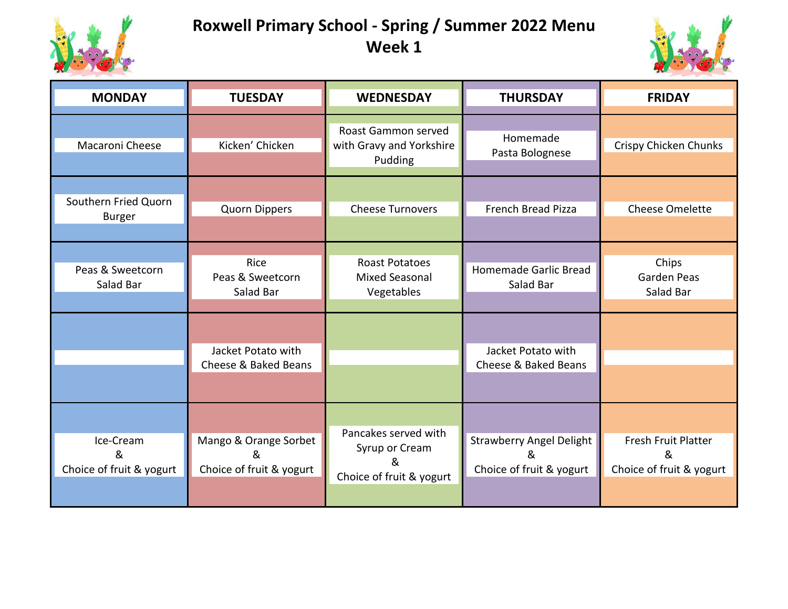

## **Roxwell Primary School - Spring / Summer 2022 Menu Week 1**



| <b>MONDAY</b>                              | <b>TUESDAY</b>                                         | <b>WEDNESDAY</b>                                                        | <b>THURSDAY</b>                                                  | <b>FRIDAY</b>                                        |
|--------------------------------------------|--------------------------------------------------------|-------------------------------------------------------------------------|------------------------------------------------------------------|------------------------------------------------------|
| Macaroni Cheese                            | Kicken' Chicken                                        | Roast Gammon served<br>with Gravy and Yorkshire<br>Pudding              | Homemade<br>Pasta Bolognese                                      | Crispy Chicken Chunks                                |
| Southern Fried Quorn<br><b>Burger</b>      | Quorn Dippers                                          | <b>Cheese Turnovers</b>                                                 | French Bread Pizza                                               | Cheese Omelette                                      |
| Peas & Sweetcorn<br>Salad Bar              | Rice<br>Peas & Sweetcorn<br>Salad Bar                  | <b>Roast Potatoes</b><br><b>Mixed Seasonal</b><br>Vegetables            | Homemade Garlic Bread<br>Salad Bar                               | Chips<br>Garden Peas<br>Salad Bar                    |
|                                            | Jacket Potato with<br>Cheese & Baked Beans             |                                                                         | Jacket Potato with<br>Cheese & Baked Beans                       |                                                      |
| Ice-Cream<br>&<br>Choice of fruit & yogurt | Mango & Orange Sorbet<br>&<br>Choice of fruit & yogurt | Pancakes served with<br>Syrup or Cream<br>&<br>Choice of fruit & yogurt | <b>Strawberry Angel Delight</b><br>&<br>Choice of fruit & yogurt | Fresh Fruit Platter<br>&<br>Choice of fruit & yogurt |